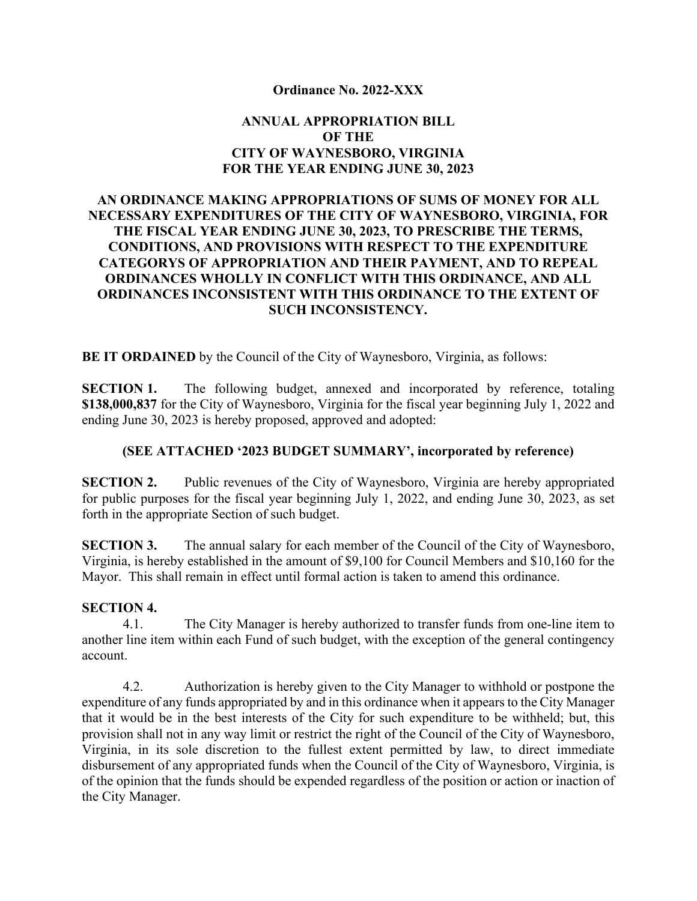### **Ordinance No. 2022-XXX**

## **ANNUAL APPROPRIATION BILL OF THE CITY OF WAYNESBORO, VIRGINIA FOR THE YEAR ENDING JUNE 30, 2023**

## **AN ORDINANCE MAKING APPROPRIATIONS OF SUMS OF MONEY FOR ALL NECESSARY EXPENDITURES OF THE CITY OF WAYNESBORO, VIRGINIA, FOR THE FISCAL YEAR ENDING JUNE 30, 2023, TO PRESCRIBE THE TERMS, CONDITIONS, AND PROVISIONS WITH RESPECT TO THE EXPENDITURE CATEGORYS OF APPROPRIATION AND THEIR PAYMENT, AND TO REPEAL ORDINANCES WHOLLY IN CONFLICT WITH THIS ORDINANCE, AND ALL ORDINANCES INCONSISTENT WITH THIS ORDINANCE TO THE EXTENT OF SUCH INCONSISTENCY.**

**BE IT ORDAINED** by the Council of the City of Waynesboro, Virginia, as follows:

**SECTION 1.** The following budget, annexed and incorporated by reference, totaling **\$138,000,837** for the City of Waynesboro, Virginia for the fiscal year beginning July 1, 2022 and ending June 30, 2023 is hereby proposed, approved and adopted:

#### **(SEE ATTACHED '2023 BUDGET SUMMARY', incorporated by reference)**

**SECTION 2.** Public revenues of the City of Waynesboro, Virginia are hereby appropriated for public purposes for the fiscal year beginning July 1, 2022, and ending June 30, 2023, as set forth in the appropriate Section of such budget.

**SECTION 3.** The annual salary for each member of the Council of the City of Waynesboro, Virginia, is hereby established in the amount of \$9,100 for Council Members and \$10,160 for the Mayor. This shall remain in effect until formal action is taken to amend this ordinance.

#### **SECTION 4.**

4.1. The City Manager is hereby authorized to transfer funds from one-line item to another line item within each Fund of such budget, with the exception of the general contingency account.

4.2. Authorization is hereby given to the City Manager to withhold or postpone the expenditure of any funds appropriated by and in this ordinance when it appears to the City Manager that it would be in the best interests of the City for such expenditure to be withheld; but, this provision shall not in any way limit or restrict the right of the Council of the City of Waynesboro, Virginia, in its sole discretion to the fullest extent permitted by law, to direct immediate disbursement of any appropriated funds when the Council of the City of Waynesboro, Virginia, is of the opinion that the funds should be expended regardless of the position or action or inaction of the City Manager.